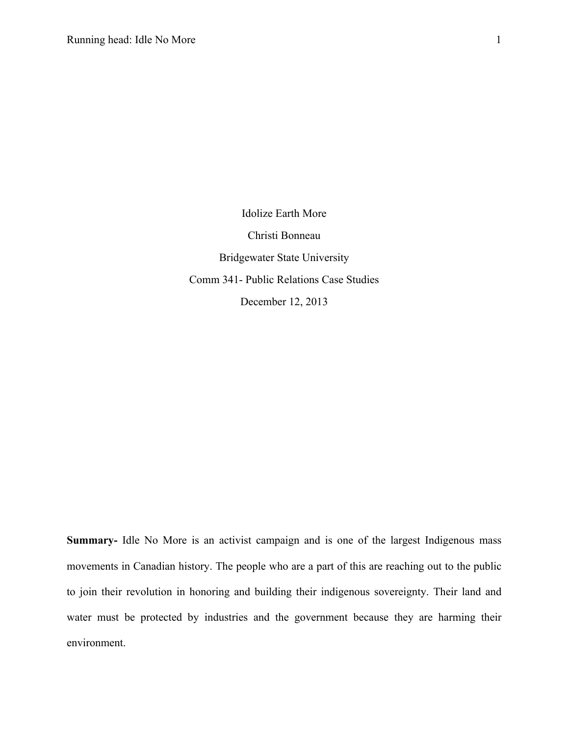Idolize Earth More Christi Bonneau Bridgewater State University Comm 341- Public Relations Case Studies December 12, 2013

**Summary-** Idle No More is an activist campaign and is one of the largest Indigenous mass movements in Canadian history. The people who are a part of this are reaching out to the public to join their revolution in honoring and building their indigenous sovereignty. Their land and water must be protected by industries and the government because they are harming their environment.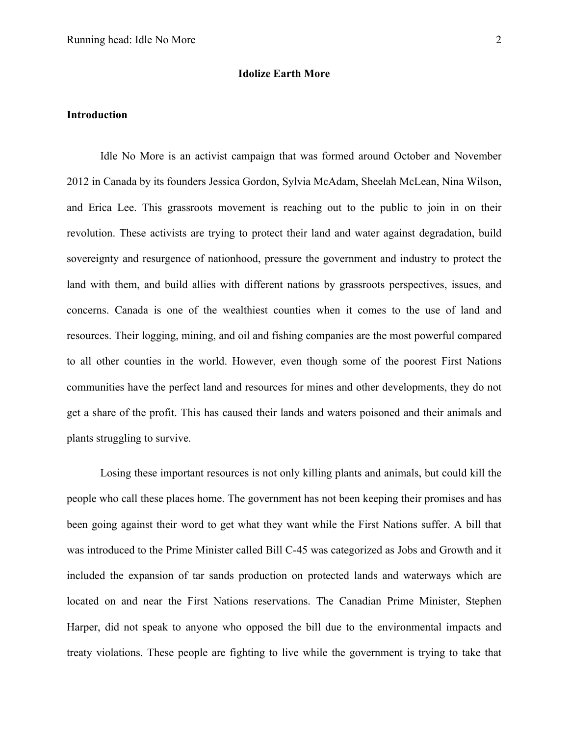#### **Idolize Earth More**

#### **Introduction**

Idle No More is an activist campaign that was formed around October and November 2012 in Canada by its founders Jessica Gordon, Sylvia McAdam, Sheelah McLean, Nina Wilson, and Erica Lee. This grassroots movement is reaching out to the public to join in on their revolution. These activists are trying to protect their land and water against degradation, build sovereignty and resurgence of nationhood, pressure the government and industry to protect the land with them, and build allies with different nations by grassroots perspectives, issues, and concerns. Canada is one of the wealthiest counties when it comes to the use of land and resources. Their logging, mining, and oil and fishing companies are the most powerful compared to all other counties in the world. However, even though some of the poorest First Nations communities have the perfect land and resources for mines and other developments, they do not get a share of the profit. This has caused their lands and waters poisoned and their animals and plants struggling to survive.

Losing these important resources is not only killing plants and animals, but could kill the people who call these places home. The government has not been keeping their promises and has been going against their word to get what they want while the First Nations suffer. A bill that was introduced to the Prime Minister called Bill C-45 was categorized as Jobs and Growth and it included the expansion of tar sands production on protected lands and waterways which are located on and near the First Nations reservations. The Canadian Prime Minister, Stephen Harper, did not speak to anyone who opposed the bill due to the environmental impacts and treaty violations. These people are fighting to live while the government is trying to take that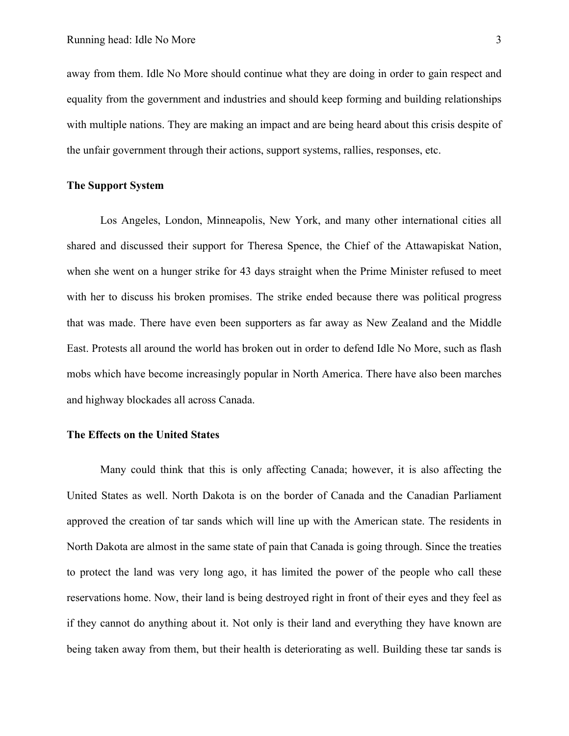away from them. Idle No More should continue what they are doing in order to gain respect and equality from the government and industries and should keep forming and building relationships with multiple nations. They are making an impact and are being heard about this crisis despite of the unfair government through their actions, support systems, rallies, responses, etc.

### **The Support System**

Los Angeles, London, Minneapolis, New York, and many other international cities all shared and discussed their support for Theresa Spence, the Chief of the Attawapiskat Nation, when she went on a hunger strike for 43 days straight when the Prime Minister refused to meet with her to discuss his broken promises. The strike ended because there was political progress that was made. There have even been supporters as far away as New Zealand and the Middle East. Protests all around the world has broken out in order to defend Idle No More, such as flash mobs which have become increasingly popular in North America. There have also been marches and highway blockades all across Canada.

# **The Effects on the United States**

Many could think that this is only affecting Canada; however, it is also affecting the United States as well. North Dakota is on the border of Canada and the Canadian Parliament approved the creation of tar sands which will line up with the American state. The residents in North Dakota are almost in the same state of pain that Canada is going through. Since the treaties to protect the land was very long ago, it has limited the power of the people who call these reservations home. Now, their land is being destroyed right in front of their eyes and they feel as if they cannot do anything about it. Not only is their land and everything they have known are being taken away from them, but their health is deteriorating as well. Building these tar sands is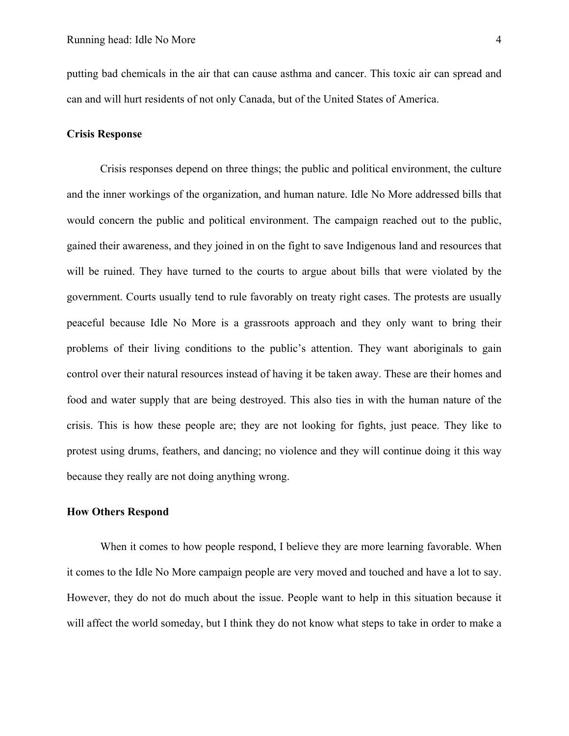putting bad chemicals in the air that can cause asthma and cancer. This toxic air can spread and can and will hurt residents of not only Canada, but of the United States of America.

#### **Crisis Response**

Crisis responses depend on three things; the public and political environment, the culture and the inner workings of the organization, and human nature. Idle No More addressed bills that would concern the public and political environment. The campaign reached out to the public, gained their awareness, and they joined in on the fight to save Indigenous land and resources that will be ruined. They have turned to the courts to argue about bills that were violated by the government. Courts usually tend to rule favorably on treaty right cases. The protests are usually peaceful because Idle No More is a grassroots approach and they only want to bring their problems of their living conditions to the public's attention. They want aboriginals to gain control over their natural resources instead of having it be taken away. These are their homes and food and water supply that are being destroyed. This also ties in with the human nature of the crisis. This is how these people are; they are not looking for fights, just peace. They like to protest using drums, feathers, and dancing; no violence and they will continue doing it this way because they really are not doing anything wrong.

# **How Others Respond**

When it comes to how people respond, I believe they are more learning favorable. When it comes to the Idle No More campaign people are very moved and touched and have a lot to say. However, they do not do much about the issue. People want to help in this situation because it will affect the world someday, but I think they do not know what steps to take in order to make a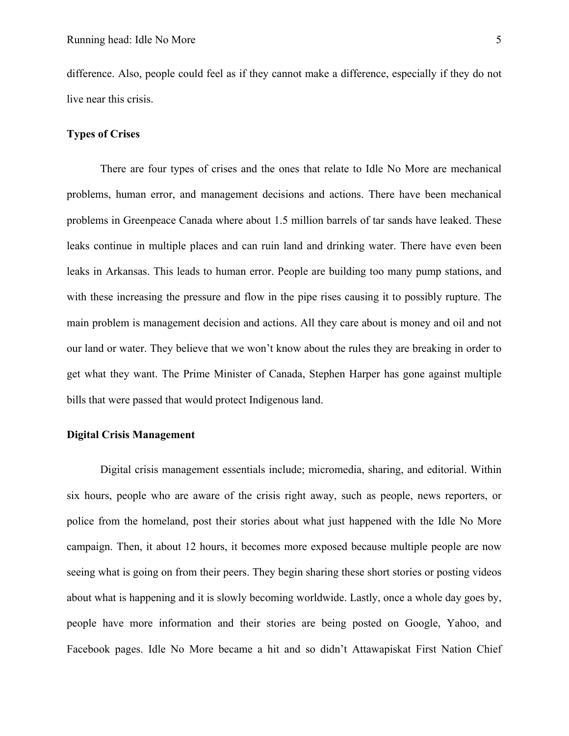difference. Also, people could feel as if they cannot make a difference, especially if they do not live near this crisis.

## **Types of Crises**

There are four types of crises and the ones that relate to Idle No More are mechanical problems, human error, and management decisions and actions. There have been mechanical problems in Greenpeace Canada where about 1.5 million barrels of tar sands have leaked. These leaks continue in multiple places and can ruin land and drinking water. There have even been leaks in Arkansas. This leads to human error. People are building too many pump stations, and with these increasing the pressure and flow in the pipe rises causing it to possibly rupture. The main problem is management decision and actions. All they care about is money and oil and not our land or water. They believe that we won't know about the rules they are breaking in order to get what they want. The Prime Minister of Canada, Stephen Harper has gone against multiple bills that were passed that would protect Indigenous land.

# **Digital Crisis Management**

Digital crisis management essentials include; micromedia, sharing, and editorial. Within six hours, people who are aware of the crisis right away, such as people, news reporters, or police from the homeland, post their stories about what just happened with the Idle No More campaign. Then, it about 12 hours, it becomes more exposed because multiple people are now seeing what is going on from their peers. They begin sharing these short stories or posting videos about what is happening and it is slowly becoming worldwide. Lastly, once a whole day goes by, people have more information and their stories are being posted on Google, Yahoo, and Facebook pages. Idle No More became a hit and so didn't Attawapiskat First Nation Chief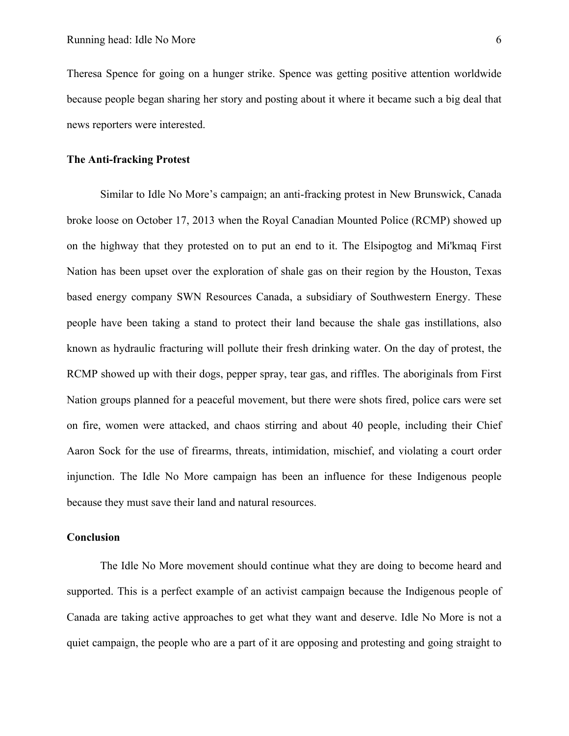Theresa Spence for going on a hunger strike. Spence was getting positive attention worldwide because people began sharing her story and posting about it where it became such a big deal that news reporters were interested.

### **The Anti-fracking Protest**

Similar to Idle No More's campaign; an anti-fracking protest in New Brunswick, Canada broke loose on October 17, 2013 when the Royal Canadian Mounted Police (RCMP) showed up on the highway that they protested on to put an end to it. The Elsipogtog and Mi'kmaq First Nation has been upset over the exploration of shale gas on their region by the Houston, Texas based energy company SWN Resources Canada, a subsidiary of Southwestern Energy. These people have been taking a stand to protect their land because the shale gas instillations, also known as hydraulic fracturing will pollute their fresh drinking water. On the day of protest, the RCMP showed up with their dogs, pepper spray, tear gas, and riffles. The aboriginals from First Nation groups planned for a peaceful movement, but there were shots fired, police cars were set on fire, women were attacked, and chaos stirring and about 40 people, including their Chief Aaron Sock for the use of firearms, threats, intimidation, mischief, and violating a court order injunction. The Idle No More campaign has been an influence for these Indigenous people because they must save their land and natural resources.

#### **Conclusion**

The Idle No More movement should continue what they are doing to become heard and supported. This is a perfect example of an activist campaign because the Indigenous people of Canada are taking active approaches to get what they want and deserve. Idle No More is not a quiet campaign, the people who are a part of it are opposing and protesting and going straight to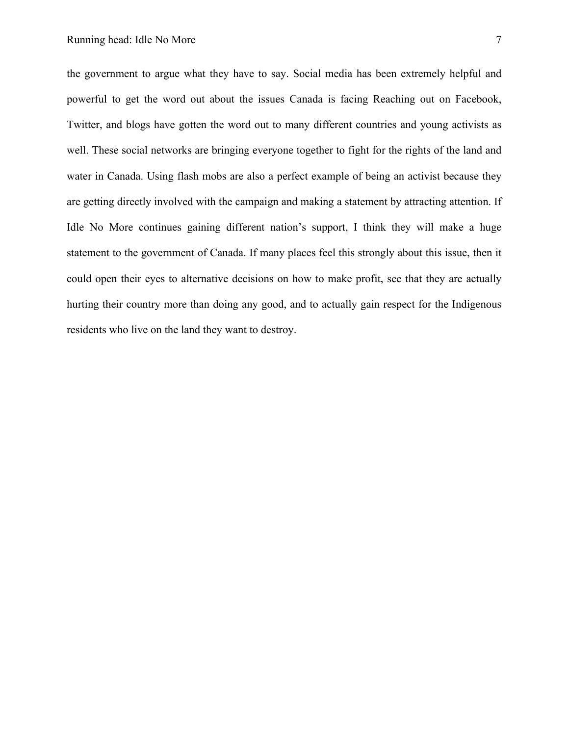the government to argue what they have to say. Social media has been extremely helpful and powerful to get the word out about the issues Canada is facing Reaching out on Facebook, Twitter, and blogs have gotten the word out to many different countries and young activists as well. These social networks are bringing everyone together to fight for the rights of the land and water in Canada. Using flash mobs are also a perfect example of being an activist because they are getting directly involved with the campaign and making a statement by attracting attention. If Idle No More continues gaining different nation's support, I think they will make a huge statement to the government of Canada. If many places feel this strongly about this issue, then it could open their eyes to alternative decisions on how to make profit, see that they are actually hurting their country more than doing any good, and to actually gain respect for the Indigenous residents who live on the land they want to destroy.